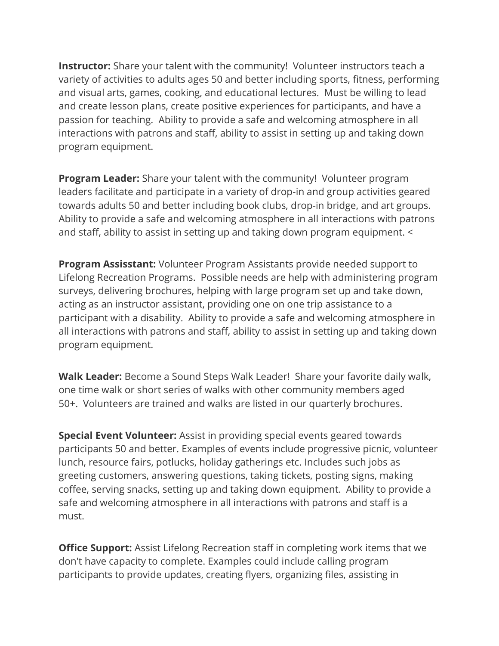Instructor: Share your talent with the community! Volunteer instructors teach a variety of activities to adults ages 50 and better including sports, fitness, performing and visual arts, games, cooking, and educational lectures. Must be willing to lead and create lesson plans, create positive experiences for participants, and have a passion for teaching. Ability to provide a safe and welcoming atmosphere in all interactions with patrons and staff, ability to assist in setting up and taking down program equipment.

**Program Leader:** Share your talent with the community! Volunteer program leaders facilitate and participate in a variety of drop-in and group activities geared towards adults 50 and better including book clubs, drop-in bridge, and art groups. Ability to provide a safe and welcoming atmosphere in all interactions with patrons and staff, ability to assist in setting up and taking down program equipment. <

**Program Assisstant:** Volunteer Program Assistants provide needed support to Lifelong Recreation Programs. Possible needs are help with administering program surveys, delivering brochures, helping with large program set up and take down, acting as an instructor assistant, providing one on one trip assistance to a participant with a disability. Ability to provide a safe and welcoming atmosphere in all interactions with patrons and staff, ability to assist in setting up and taking down program equipment.

Walk Leader: Become a Sound Steps Walk Leader! Share your favorite daily walk, one time walk or short series of walks with other community members aged 50+. Volunteers are trained and walks are listed in our quarterly brochures.

Special Event Volunteer: Assist in providing special events geared towards participants 50 and better. Examples of events include progressive picnic, volunteer lunch, resource fairs, potlucks, holiday gatherings etc. Includes such jobs as greeting customers, answering questions, taking tickets, posting signs, making coffee, serving snacks, setting up and taking down equipment. Ability to provide a safe and welcoming atmosphere in all interactions with patrons and staff is a must.

**Office Support:** Assist Lifelong Recreation staff in completing work items that we don't have capacity to complete. Examples could include calling program participants to provide updates, creating flyers, organizing files, assisting in